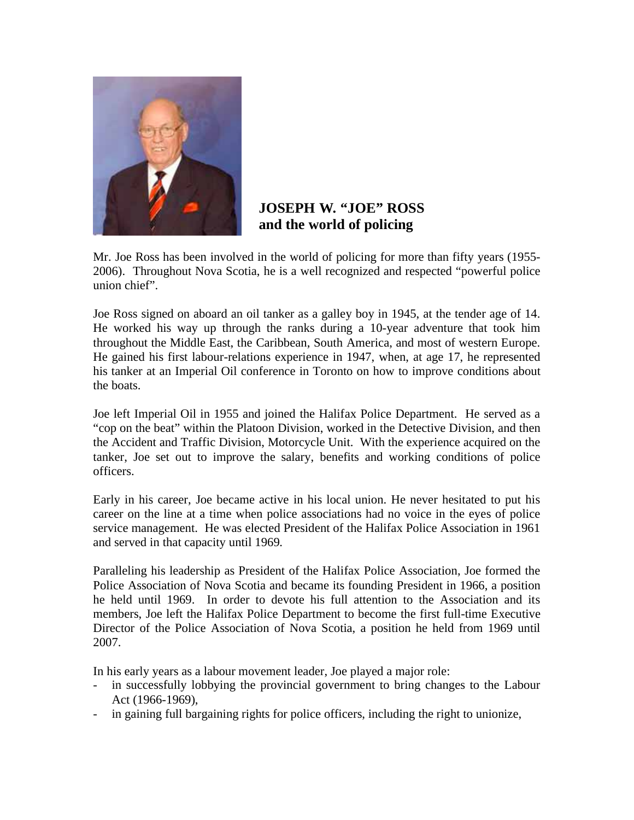

## **JOSEPH W. "JOE" ROSS and the world of policing**

Mr. Joe Ross has been involved in the world of policing for more than fifty years (1955- 2006). Throughout Nova Scotia, he is a well recognized and respected "powerful police union chief".

Joe Ross signed on aboard an oil tanker as a galley boy in 1945, at the tender age of 14. He worked his way up through the ranks during a 10-year adventure that took him throughout the Middle East, the Caribbean, South America, and most of western Europe. He gained his first labour-relations experience in 1947, when, at age 17, he represented his tanker at an Imperial Oil conference in Toronto on how to improve conditions about the boats.

Joe left Imperial Oil in 1955 and joined the Halifax Police Department. He served as a "cop on the beat" within the Platoon Division, worked in the Detective Division, and then the Accident and Traffic Division, Motorcycle Unit. With the experience acquired on the tanker, Joe set out to improve the salary, benefits and working conditions of police officers.

Early in his career, Joe became active in his local union. He never hesitated to put his career on the line at a time when police associations had no voice in the eyes of police service management. He was elected President of the Halifax Police Association in 1961 and served in that capacity until 1969.

Paralleling his leadership as President of the Halifax Police Association, Joe formed the Police Association of Nova Scotia and became its founding President in 1966, a position he held until 1969. In order to devote his full attention to the Association and its members, Joe left the Halifax Police Department to become the first full-time Executive Director of the Police Association of Nova Scotia, a position he held from 1969 until 2007.

In his early years as a labour movement leader, Joe played a major role:

- in successfully lobbying the provincial government to bring changes to the Labour Act (1966-1969),
- in gaining full bargaining rights for police officers, including the right to unionize,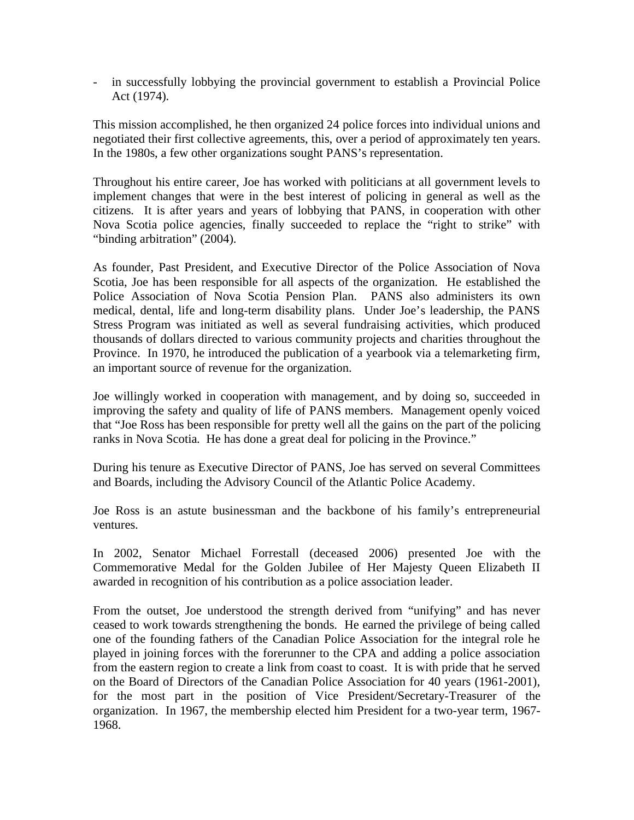- in successfully lobbying the provincial government to establish a Provincial Police Act (1974).

This mission accomplished, he then organized 24 police forces into individual unions and negotiated their first collective agreements, this, over a period of approximately ten years. In the 1980s, a few other organizations sought PANS's representation.

Throughout his entire career, Joe has worked with politicians at all government levels to implement changes that were in the best interest of policing in general as well as the citizens. It is after years and years of lobbying that PANS, in cooperation with other Nova Scotia police agencies, finally succeeded to replace the "right to strike" with "binding arbitration" (2004).

As founder, Past President, and Executive Director of the Police Association of Nova Scotia, Joe has been responsible for all aspects of the organization. He established the Police Association of Nova Scotia Pension Plan. PANS also administers its own medical, dental, life and long-term disability plans. Under Joe's leadership, the PANS Stress Program was initiated as well as several fundraising activities, which produced thousands of dollars directed to various community projects and charities throughout the Province. In 1970, he introduced the publication of a yearbook via a telemarketing firm, an important source of revenue for the organization.

Joe willingly worked in cooperation with management, and by doing so, succeeded in improving the safety and quality of life of PANS members. Management openly voiced that "Joe Ross has been responsible for pretty well all the gains on the part of the policing ranks in Nova Scotia. He has done a great deal for policing in the Province."

During his tenure as Executive Director of PANS, Joe has served on several Committees and Boards, including the Advisory Council of the Atlantic Police Academy.

Joe Ross is an astute businessman and the backbone of his family's entrepreneurial ventures.

In 2002, Senator Michael Forrestall (deceased 2006) presented Joe with the Commemorative Medal for the Golden Jubilee of Her Majesty Queen Elizabeth II awarded in recognition of his contribution as a police association leader.

From the outset, Joe understood the strength derived from "unifying" and has never ceased to work towards strengthening the bonds. He earned the privilege of being called one of the founding fathers of the Canadian Police Association for the integral role he played in joining forces with the forerunner to the CPA and adding a police association from the eastern region to create a link from coast to coast. It is with pride that he served on the Board of Directors of the Canadian Police Association for 40 years (1961-2001), for the most part in the position of Vice President/Secretary-Treasurer of the organization. In 1967, the membership elected him President for a two-year term, 1967- 1968.